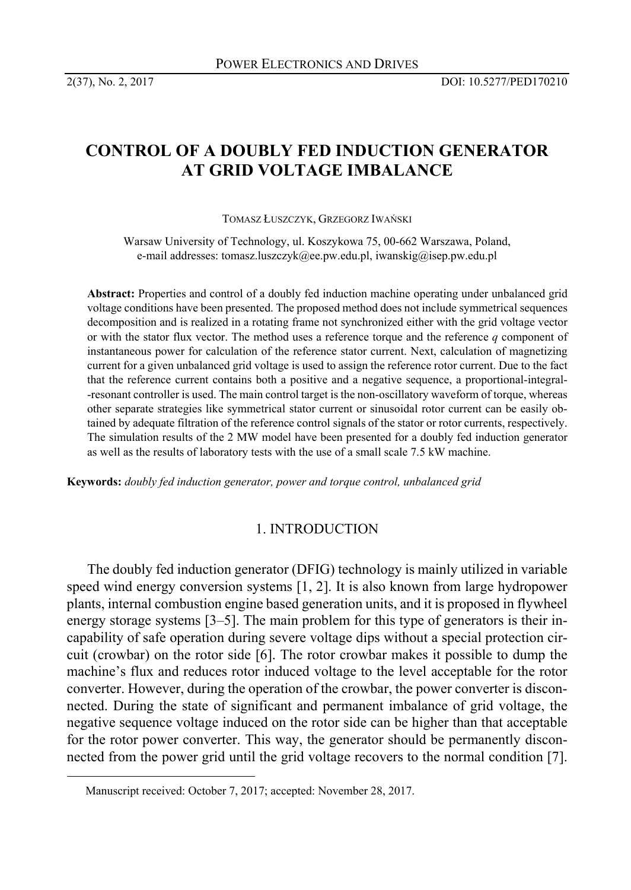# **CONTROL OF A DOUBLY FED INDUCTION GENERATOR AT GRID VOLTAGE IMBALANCE**

TOMASZ ŁUSZCZYK, GRZEGORZ IWAŃSKI

Warsaw University of Technology, ul. Koszykowa 75, 00-662 Warszawa, Poland, e-mail addresses: tomasz.luszczyk@ee.pw.edu.pl, iwanskig@isep.pw.edu.pl

**Abstract:** Properties and control of a doubly fed induction machine operating under unbalanced grid voltage conditions have been presented. The proposed method does not include symmetrical sequences decomposition and is realized in a rotating frame not synchronized either with the grid voltage vector or with the stator flux vector. The method uses a reference torque and the reference *q* component of instantaneous power for calculation of the reference stator current. Next, calculation of magnetizing current for a given unbalanced grid voltage is used to assign the reference rotor current. Due to the fact that the reference current contains both a positive and a negative sequence, a proportional-integral- -resonant controller is used. The main control target is the non-oscillatory waveform of torque, whereas other separate strategies like symmetrical stator current or sinusoidal rotor current can be easily obtained by adequate filtration of the reference control signals of the stator or rotor currents, respectively. The simulation results of the 2 MW model have been presented for a doubly fed induction generator as well as the results of laboratory tests with the use of a small scale 7.5 kW machine.1

**Keywords:** *doubly fed induction generator, power and torque control, unbalanced grid* 

# 1. INTRODUCTION

The doubly fed induction generator (DFIG) technology is mainly utilized in variable speed wind energy conversion systems [1, 2]. It is also known from large hydropower plants, internal combustion engine based generation units, and it is proposed in flywheel energy storage systems [3–5]. The main problem for this type of generators is their incapability of safe operation during severe voltage dips without a special protection circuit (crowbar) on the rotor side [6]. The rotor crowbar makes it possible to dump the machine's flux and reduces rotor induced voltage to the level acceptable for the rotor converter. However, during the operation of the crowbar, the power converter is disconnected. During the state of significant and permanent imbalance of grid voltage, the negative sequence voltage induced on the rotor side can be higher than that acceptable for the rotor power converter. This way, the generator should be permanently disconnected from the power grid until the grid voltage recovers to the normal condition [7].

Manuscript received: October 7, 2017; accepted: November 28, 2017.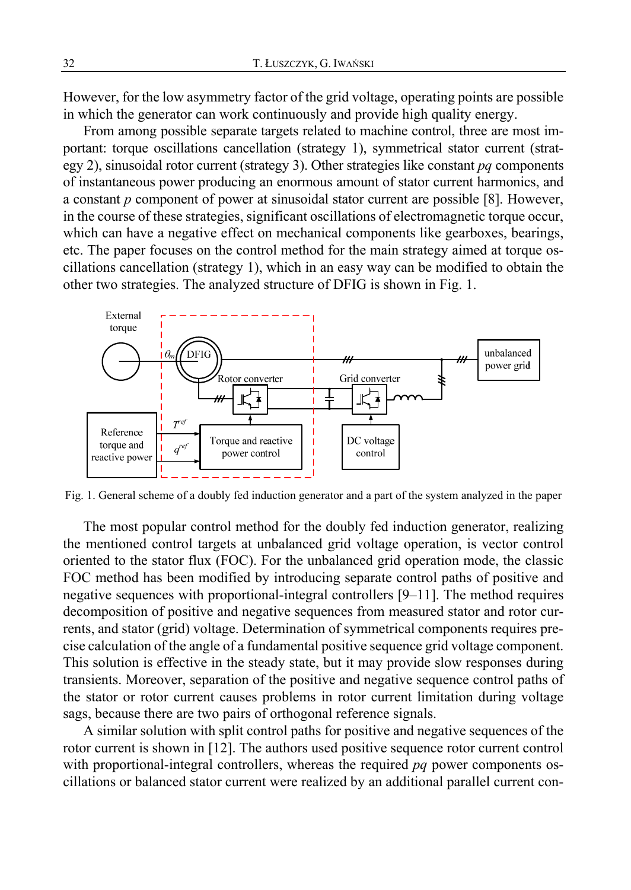However, for the low asymmetry factor of the grid voltage, operating points are possible in which the generator can work continuously and provide high quality energy.

From among possible separate targets related to machine control, three are most important: torque oscillations cancellation (strategy 1), symmetrical stator current (strategy 2), sinusoidal rotor current (strategy 3). Other strategies like constant *pq* components of instantaneous power producing an enormous amount of stator current harmonics, and a constant *p* component of power at sinusoidal stator current are possible [8]. However, in the course of these strategies, significant oscillations of electromagnetic torque occur, which can have a negative effect on mechanical components like gearboxes, bearings, etc. The paper focuses on the control method for the main strategy aimed at torque oscillations cancellation (strategy 1), which in an easy way can be modified to obtain the other two strategies. The analyzed structure of DFIG is shown in Fig. 1.



Fig. 1. General scheme of a doubly fed induction generator and a part of the system analyzed in the paper

The most popular control method for the doubly fed induction generator, realizing the mentioned control targets at unbalanced grid voltage operation, is vector control oriented to the stator flux (FOC). For the unbalanced grid operation mode, the classic FOC method has been modified by introducing separate control paths of positive and negative sequences with proportional-integral controllers [9–11]. The method requires decomposition of positive and negative sequences from measured stator and rotor currents, and stator (grid) voltage. Determination of symmetrical components requires precise calculation of the angle of a fundamental positive sequence grid voltage component. This solution is effective in the steady state, but it may provide slow responses during transients. Moreover, separation of the positive and negative sequence control paths of the stator or rotor current causes problems in rotor current limitation during voltage sags, because there are two pairs of orthogonal reference signals.

A similar solution with split control paths for positive and negative sequences of the rotor current is shown in [12]. The authors used positive sequence rotor current control with proportional-integral controllers, whereas the required *pq* power components oscillations or balanced stator current were realized by an additional parallel current con-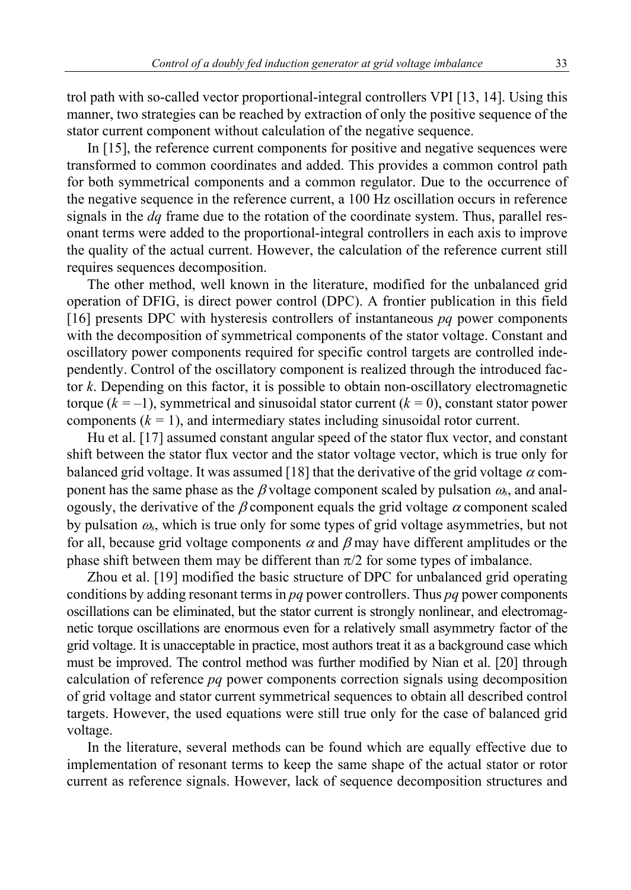trol path with so-called vector proportional-integral controllers VPI [13, 14]. Using this manner, two strategies can be reached by extraction of only the positive sequence of the stator current component without calculation of the negative sequence.

In [15], the reference current components for positive and negative sequences were transformed to common coordinates and added. This provides a common control path for both symmetrical components and a common regulator. Due to the occurrence of the negative sequence in the reference current, a 100 Hz oscillation occurs in reference signals in the *dq* frame due to the rotation of the coordinate system. Thus, parallel resonant terms were added to the proportional-integral controllers in each axis to improve the quality of the actual current. However, the calculation of the reference current still requires sequences decomposition.

The other method, well known in the literature, modified for the unbalanced grid operation of DFIG, is direct power control (DPC). A frontier publication in this field  $[16]$  presents DPC with hysteresis controllers of instantaneous *pq* power components with the decomposition of symmetrical components of the stator voltage. Constant and oscillatory power components required for specific control targets are controlled independently. Control of the oscillatory component is realized through the introduced factor *k*. Depending on this factor, it is possible to obtain non-oscillatory electromagnetic torque (*k = –*1), symmetrical and sinusoidal stator current (*k =* 0), constant stator power components  $(k = 1)$ , and intermediary states including sinusoidal rotor current.

Hu et al. [17] assumed constant angular speed of the stator flux vector, and constant shift between the stator flux vector and the stator voltage vector, which is true only for balanced grid voltage. It was assumed [18] that the derivative of the grid voltage  $\alpha$  component has the same phase as the  $\beta$  voltage component scaled by pulsation  $\omega_s$ , and analogously, the derivative of the  $\beta$  component equals the grid voltage  $\alpha$  component scaled by pulsation  $\omega_s$ , which is true only for some types of grid voltage asymmetries, but not for all, because grid voltage components  $\alpha$  and  $\beta$  may have different amplitudes or the phase shift between them may be different than  $\pi/2$  for some types of imbalance.

Zhou et al. [19] modified the basic structure of DPC for unbalanced grid operating conditions by adding resonant terms in *pq* power controllers. Thus *pq* power components oscillations can be eliminated, but the stator current is strongly nonlinear, and electromagnetic torque oscillations are enormous even for a relatively small asymmetry factor of the grid voltage. It is unacceptable in practice, most authors treat it as a background case which must be improved. The control method was further modified by Nian et al. [20] through calculation of reference *pq* power components correction signals using decomposition of grid voltage and stator current symmetrical sequences to obtain all described control targets. However, the used equations were still true only for the case of balanced grid voltage.

In the literature, several methods can be found which are equally effective due to implementation of resonant terms to keep the same shape of the actual stator or rotor current as reference signals. However, lack of sequence decomposition structures and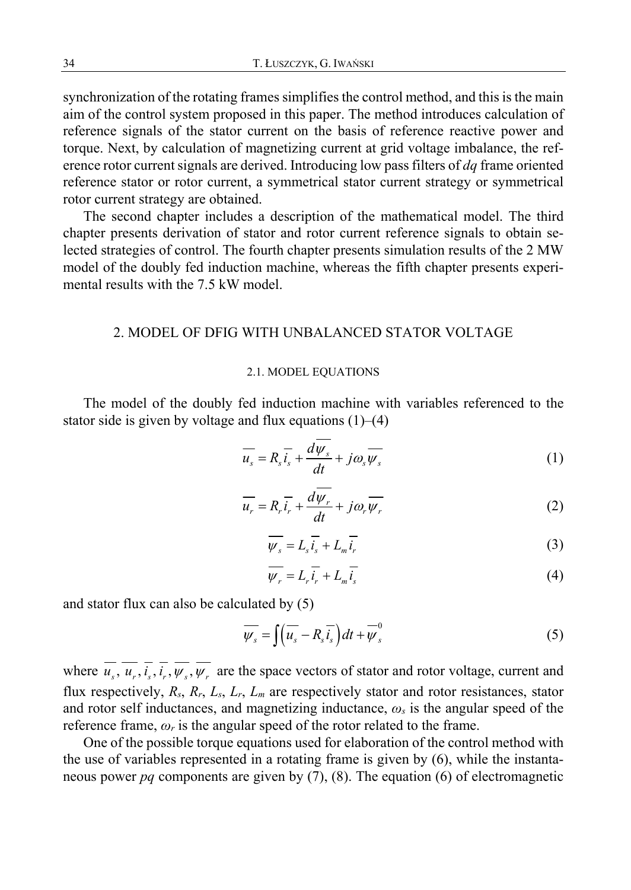synchronization of the rotating frames simplifies the control method, and this is the main aim of the control system proposed in this paper. The method introduces calculation of reference signals of the stator current on the basis of reference reactive power and torque. Next, by calculation of magnetizing current at grid voltage imbalance, the reference rotor current signals are derived. Introducing low pass filters of *dq* frame oriented reference stator or rotor current, a symmetrical stator current strategy or symmetrical rotor current strategy are obtained.

The second chapter includes a description of the mathematical model. The third chapter presents derivation of stator and rotor current reference signals to obtain selected strategies of control. The fourth chapter presents simulation results of the 2 MW model of the doubly fed induction machine, whereas the fifth chapter presents experimental results with the 7.5 kW model.

### 2. MODEL OF DFIG WITH UNBALANCED STATOR VOLTAGE

#### 2.1. MODEL EQUATIONS

The model of the doubly fed induction machine with variables referenced to the stator side is given by voltage and flux equations  $(1)$ – $(4)$ 

$$
\overline{u_s} = R_s \overline{i_s} + \frac{d\psi_s}{dt} + j\omega_s \overline{\psi_s}
$$
 (1)

$$
\overline{u_r} = R_r \overline{i_r} + \frac{d\overline{\psi_r}}{dt} + j\omega_r \overline{\psi_r}
$$
 (2)

$$
\overline{\psi_s} = L_s \overline{i_s} + L_m \overline{i_r} \tag{3}
$$

$$
\overline{\psi_r} = L_r \overline{i_r} + L_m \overline{i_s}
$$
 (4)

and stator flux can also be calculated by (5)

$$
\overline{\psi_s} = \int \left(\overline{u_s} - R_s \overline{i_s}\right) dt + \overline{\psi}_s^0
$$
\n(5)

where  $u_s$ ,  $u_r$ ,  $i_s$ ,  $i_r$ ,  $\psi_s$ ,  $\psi_r$  are the space vectors of stator and rotor voltage, current and flux respectively, *Rs*, *Rr*, *Ls*, *Lr*, *Lm* are respectively stator and rotor resistances, stator and rotor self inductances, and magnetizing inductance, *ωs* is the angular speed of the reference frame,  $\omega_r$  is the angular speed of the rotor related to the frame.

One of the possible torque equations used for elaboration of the control method with the use of variables represented in a rotating frame is given by (6), while the instantaneous power *pq* components are given by (7), (8). The equation (6) of electromagnetic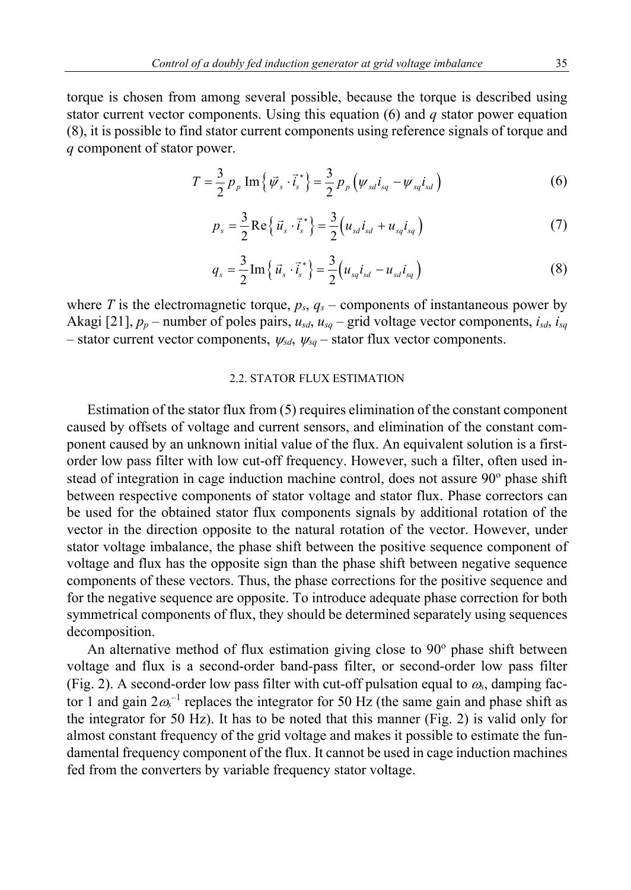torque is chosen from among several possible, because the torque is described using stator current vector components. Using this equation (6) and *q* stator power equation (8), it is possible to find stator current components using reference signals of torque and *q* component of stator power.

$$
T = \frac{3}{2} p_{p} \operatorname{Im} \{ \vec{\psi}_{s} \cdot \vec{i}_{s}^{*} \} = \frac{3}{2} p_{p} \left( \psi_{sd} i_{sq} - \psi_{sq} i_{sd} \right)
$$
 (6)

$$
p_s = \frac{3}{2} \text{Re} \{ \vec{u}_s \cdot \vec{i}_s^* \} = \frac{3}{2} (u_{sd} i_{sd} + u_{sq} i_{sq})
$$
 (7)

$$
q_s = \frac{3}{2} \operatorname{Im} \left\{ \vec{u}_s \cdot \vec{i}_s^* \right\} = \frac{3}{2} \left( u_{sq} i_{sd} - u_{sd} i_{sq} \right) \tag{8}
$$

where *T* is the electromagnetic torque,  $p_s$ ,  $q_s$  – components of instantaneous power by Akagi [21],  $p_p$  – number of poles pairs,  $u_{sd}$ ,  $u_{sd}$  – grid voltage vector components,  $i_{sd}$ ,  $i_{sq}$ – stator current vector components,  $\psi_{sd}$ ,  $\psi_{sd}$  – stator flux vector components.

# 2.2. STATOR FLUX ESTIMATION

Estimation of the stator flux from (5) requires elimination of the constant component caused by offsets of voltage and current sensors, and elimination of the constant component caused by an unknown initial value of the flux. An equivalent solution is a firstorder low pass filter with low cut-off frequency. However, such a filter, often used instead of integration in cage induction machine control, does not assure 90° phase shift between respective components of stator voltage and stator flux. Phase correctors can be used for the obtained stator flux components signals by additional rotation of the vector in the direction opposite to the natural rotation of the vector. However, under stator voltage imbalance, the phase shift between the positive sequence component of voltage and flux has the opposite sign than the phase shift between negative sequence components of these vectors. Thus, the phase corrections for the positive sequence and for the negative sequence are opposite. To introduce adequate phase correction for both symmetrical components of flux, they should be determined separately using sequences decomposition.

An alternative method of flux estimation giving close to 90° phase shift between voltage and flux is a second-order band-pass filter, or second-order low pass filter (Fig. 2). A second-order low pass filter with cut-off pulsation equal to  $\omega_s$ , damping factor 1 and gain  $2\omega_s^{-1}$  replaces the integrator for 50 Hz (the same gain and phase shift as the integrator for 50 Hz). It has to be noted that this manner (Fig. 2) is valid only for almost constant frequency of the grid voltage and makes it possible to estimate the fundamental frequency component of the flux. It cannot be used in cage induction machines fed from the converters by variable frequency stator voltage.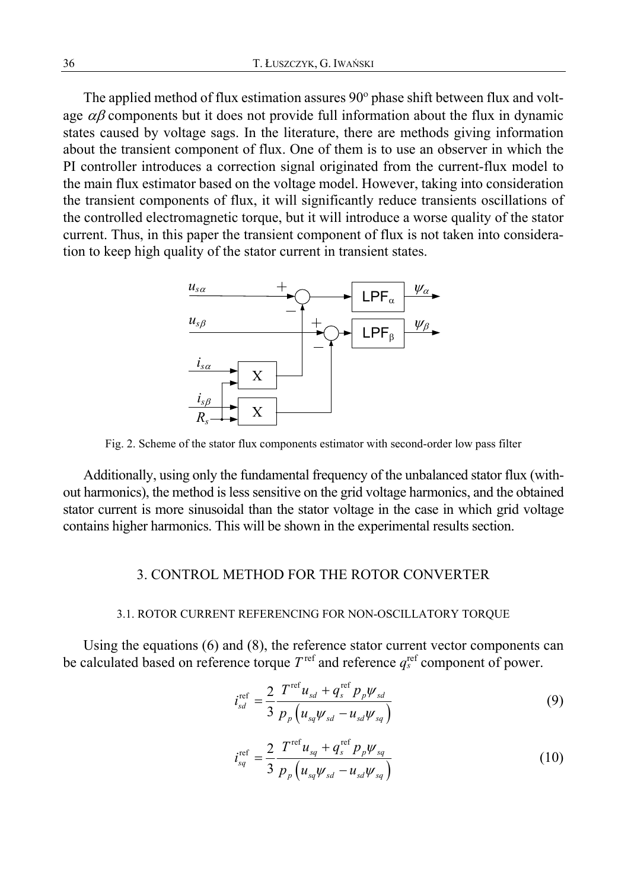The applied method of flux estimation assures 90° phase shift between flux and voltage  $\alpha\beta$  components but it does not provide full information about the flux in dynamic states caused by voltage sags. In the literature, there are methods giving information about the transient component of flux. One of them is to use an observer in which the PI controller introduces a correction signal originated from the current-flux model to the main flux estimator based on the voltage model. However, taking into consideration the transient components of flux, it will significantly reduce transients oscillations of the controlled electromagnetic torque, but it will introduce a worse quality of the stator current. Thus, in this paper the transient component of flux is not taken into consideration to keep high quality of the stator current in transient states.



Fig. 2. Scheme of the stator flux components estimator with second-order low pass filter

Additionally, using only the fundamental frequency of the unbalanced stator flux (without harmonics), the method is less sensitive on the grid voltage harmonics, and the obtained stator current is more sinusoidal than the stator voltage in the case in which grid voltage contains higher harmonics. This will be shown in the experimental results section.

# 3. CONTROL METHOD FOR THE ROTOR CONVERTER

#### 3.1. ROTOR CURRENT REFERENCING FOR NON-OSCILLATORY TORQUE

Using the equations (6) and (8), the reference stator current vector components can be calculated based on reference torque  $T^{\text{ref}}$  and reference  $q^{\text{ref}}_{s}$  component of power.

$$
i_{sd}^{\text{ref}} = \frac{2}{3} \frac{T^{\text{ref}} u_{sd} + q_s^{\text{ref}} p_p \psi_{sd}}{p_p \left( u_{sq} \psi_{sd} - u_{sd} \psi_{sq} \right)}
$$
(9)

$$
i_{sq}^{\text{ref}} = \frac{2}{3} \frac{T^{\text{ref}} u_{sq} + q_s^{\text{ref}} p_p \psi_{sq}}{p_p \left( u_{sq} \psi_{sd} - u_{sd} \psi_{sq} \right)}
$$
(10)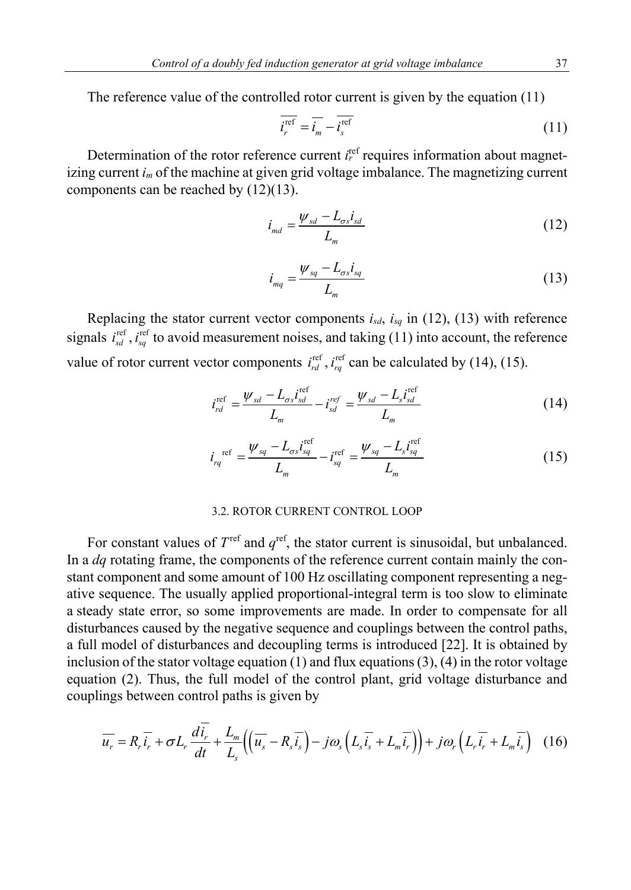The reference value of the controlled rotor current is given by the equation (11)

$$
\overline{i_r^{\text{ref}}} = \overline{i_m} - \overline{i_s^{\text{ref}}}
$$
\n(11)

Determination of the rotor reference current  $i_r^{\text{ref}}$  requires information about magnetizing current *im* of the machine at given grid voltage imbalance. The magnetizing current components can be reached by (12)(13).

$$
i_{md} = \frac{\psi_{sd} - L_{\sigma s} i_{sd}}{L_m} \tag{12}
$$

$$
i_{mq} = \frac{\psi_{sq} - L_{\sigma s} i_{sq}}{L_m} \tag{13}
$$

Replacing the stator current vector components  $i_{sd}$ ,  $i_{sq}$  in (12), (13) with reference signals  $i_{sd}^{\text{ref}}$ ,  $i_{sd}^{\text{ref}}$  to avoid measurement noises, and taking (11) into account, the reference value of rotor current vector components  $i_{rd}^{\text{ref}}$ ,  $i_{rd}^{\text{ref}}$  can be calculated by (14), (15).

$$
i_{rd}^{\text{ref}} = \frac{\psi_{sd} - L_{\sigma s} i_{sd}^{\text{ref}}}{L_m} - i_{sd}^{\text{ref}} = \frac{\psi_{sd} - L_s i_{sd}^{\text{ref}}}{L_m} \tag{14}
$$

$$
i_{rq}^{\text{ref}} = \frac{\psi_{sq} - L_{\sigma s} i_{sq}^{\text{ref}}}{L_m} - i_{sq}^{\text{ref}} = \frac{\psi_{sq} - L_s i_{sq}^{\text{ref}}}{L_m}
$$
(15)

#### 3.2. ROTOR CURRENT CONTROL LOOP

For constant values of  $T^{\text{ref}}$  and  $q^{\text{ref}}$ , the stator current is sinusoidal, but unbalanced. In a *dq* rotating frame, the components of the reference current contain mainly the constant component and some amount of 100 Hz oscillating component representing a negative sequence. The usually applied proportional-integral term is too slow to eliminate a steady state error, so some improvements are made. In order to compensate for all disturbances caused by the negative sequence and couplings between the control paths, a full model of disturbances and decoupling terms is introduced [22]. It is obtained by inclusion of the stator voltage equation  $(1)$  and flux equations  $(3)$ ,  $(4)$  in the rotor voltage equation (2). Thus, the full model of the control plant, grid voltage disturbance and couplings between control paths is given by

$$
\overline{u_r} = R_r \overline{i_r} + \sigma L_r \frac{di_r}{dt} + \frac{L_m}{L_s} \left( \left( \overline{u_s} - R_s \overline{i_s} \right) - j \omega_s \left( L_s \overline{i_s} + L_m \overline{i_r} \right) \right) + j \omega_r \left( L_r \overline{i_r} + L_m \overline{i_s} \right) \tag{16}
$$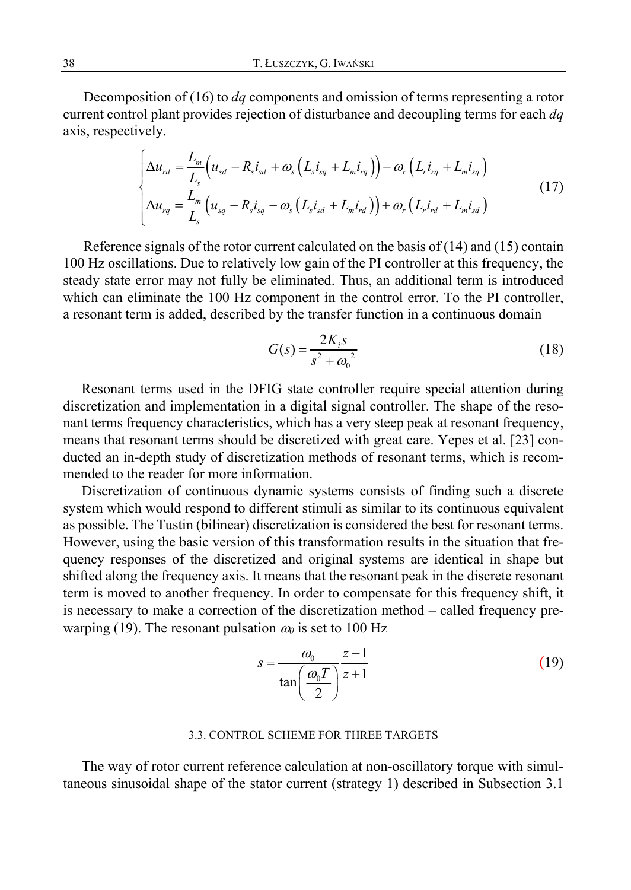Decomposition of (16) to *dq* components and omission of terms representing a rotor current control plant provides rejection of disturbance and decoupling terms for each *dq* axis, respectively.

$$
\begin{cases}\n\Delta u_{rd} = \frac{L_m}{L_s} \Big( u_{sd} - R_s i_{sd} + \omega_s \Big( L_s i_{sq} + L_m i_{rq} \Big) \Big) - \omega_r \Big( L_r i_{rq} + L_m i_{sq} \Big) \\
\Delta u_{rq} = \frac{L_m}{L_s} \Big( u_{sq} - R_s i_{sq} - \omega_s \Big( L_s i_{sd} + L_m i_{rd} \Big) \Big) + \omega_r \Big( L_r i_{rd} + L_m i_{sd} \Big)\n\end{cases} \tag{17}
$$

Reference signals of the rotor current calculated on the basis of  $(14)$  and  $(15)$  contain 100 Hz oscillations. Due to relatively low gain of the PI controller at this frequency, the steady state error may not fully be eliminated. Thus, an additional term is introduced which can eliminate the 100 Hz component in the control error. To the PI controller, a resonant term is added, described by the transfer function in a continuous domain

$$
G(s) = \frac{2K_i s}{s^2 + \omega_0^2}
$$
 (18)

Resonant terms used in the DFIG state controller require special attention during discretization and implementation in a digital signal controller. The shape of the resonant terms frequency characteristics, which has a very steep peak at resonant frequency, means that resonant terms should be discretized with great care. Yepes et al. [23] conducted an in-depth study of discretization methods of resonant terms, which is recommended to the reader for more information.

Discretization of continuous dynamic systems consists of finding such a discrete system which would respond to different stimuli as similar to its continuous equivalent as possible. The Tustin (bilinear) discretization is considered the best for resonant terms. However, using the basic version of this transformation results in the situation that frequency responses of the discretized and original systems are identical in shape but shifted along the frequency axis. It means that the resonant peak in the discrete resonant term is moved to another frequency. In order to compensate for this frequency shift, it is necessary to make a correction of the discretization method – called frequency prewarping (19). The resonant pulsation  $\omega_0$  is set to 100 Hz

$$
s = \frac{\omega_0}{\tan\left(\frac{\omega_0 T}{2}\right)} \frac{z - 1}{z + 1} \tag{19}
$$

## 3.3. CONTROL SCHEME FOR THREE TARGETS

The way of rotor current reference calculation at non-oscillatory torque with simultaneous sinusoidal shape of the stator current (strategy 1) described in Subsection 3.1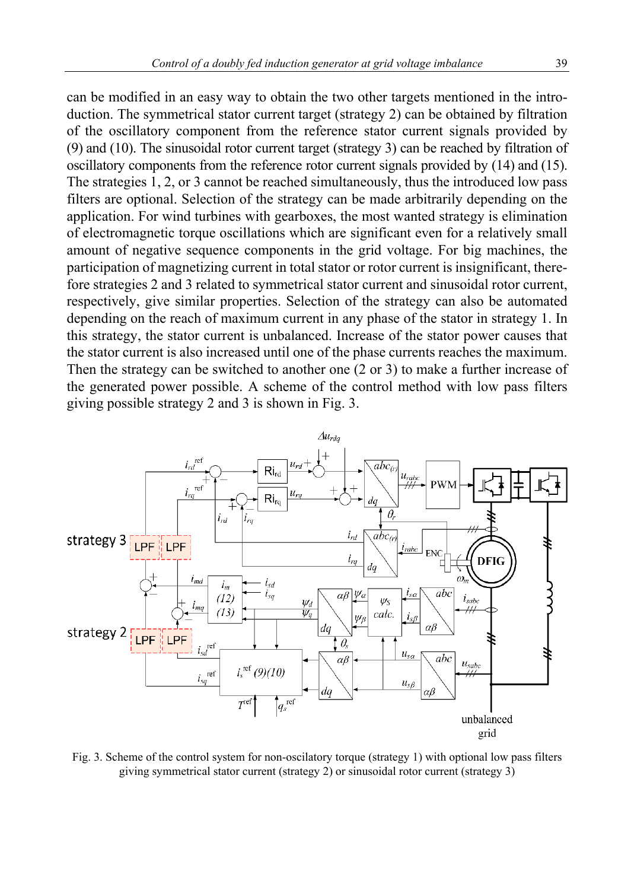can be modified in an easy way to obtain the two other targets mentioned in the introduction. The symmetrical stator current target (strategy 2) can be obtained by filtration of the oscillatory component from the reference stator current signals provided by (9) and (10). The sinusoidal rotor current target (strategy 3) can be reached by filtration of oscillatory components from the reference rotor current signals provided by (14) and (15). The strategies 1, 2, or 3 cannot be reached simultaneously, thus the introduced low pass filters are optional. Selection of the strategy can be made arbitrarily depending on the application. For wind turbines with gearboxes, the most wanted strategy is elimination of electromagnetic torque oscillations which are significant even for a relatively small amount of negative sequence components in the grid voltage. For big machines, the participation of magnetizing current in total stator or rotor current is insignificant, therefore strategies 2 and 3 related to symmetrical stator current and sinusoidal rotor current, respectively, give similar properties. Selection of the strategy can also be automated depending on the reach of maximum current in any phase of the stator in strategy 1. In this strategy, the stator current is unbalanced. Increase of the stator power causes that the stator current is also increased until one of the phase currents reaches the maximum. Then the strategy can be switched to another one (2 or 3) to make a further increase of the generated power possible. A scheme of the control method with low pass filters giving possible strategy 2 and 3 is shown in Fig. 3.



Fig. 3. Scheme of the control system for non-oscilatory torque (strategy 1) with optional low pass filters giving symmetrical stator current (strategy 2) or sinusoidal rotor current (strategy 3)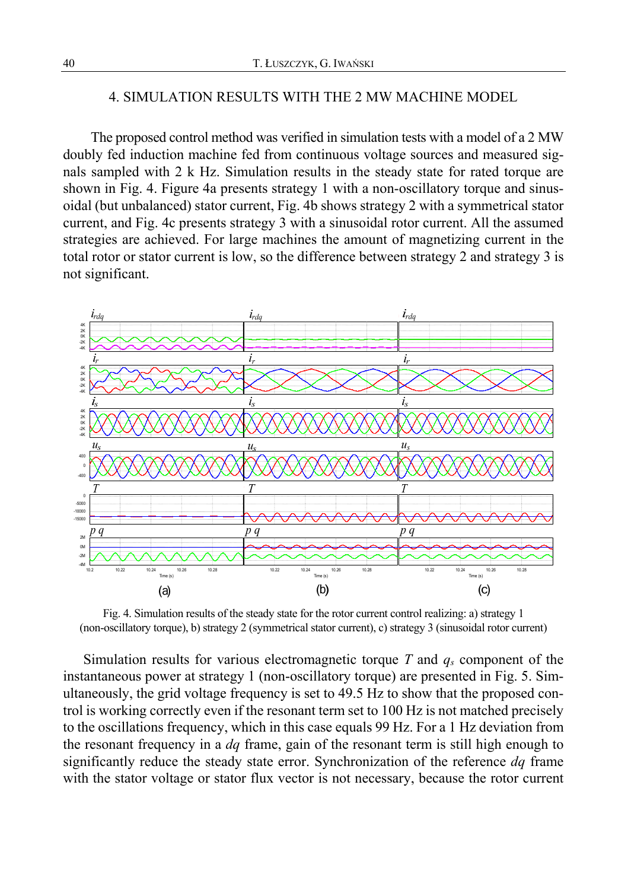# 4. SIMULATION RESULTS WITH THE 2 MW MACHINE MODEL

The proposed control method was verified in simulation tests with a model of a 2 MW doubly fed induction machine fed from continuous voltage sources and measured signals sampled with 2 k Hz. Simulation results in the steady state for rated torque are shown in Fig. 4. Figure 4a presents strategy 1 with a non-oscillatory torque and sinusoidal (but unbalanced) stator current, Fig. 4b shows strategy 2 with a symmetrical stator current, and Fig. 4c presents strategy 3 with a sinusoidal rotor current. All the assumed strategies are achieved. For large machines the amount of magnetizing current in the total rotor or stator current is low, so the difference between strategy 2 and strategy 3 is not significant.



Fig. 4. Simulation results of the steady state for the rotor current control realizing: a) strategy 1 (non-oscillatory torque), b) strategy 2 (symmetrical stator current), c) strategy 3 (sinusoidal rotor current)

Simulation results for various electromagnetic torque *T* and *qs* component of the instantaneous power at strategy 1 (non-oscillatory torque) are presented in Fig. 5. Simultaneously, the grid voltage frequency is set to 49.5 Hz to show that the proposed control is working correctly even if the resonant term set to 100 Hz is not matched precisely to the oscillations frequency, which in this case equals 99 Hz. For a 1 Hz deviation from the resonant frequency in a *dq* frame, gain of the resonant term is still high enough to significantly reduce the steady state error. Synchronization of the reference *dq* frame with the stator voltage or stator flux vector is not necessary, because the rotor current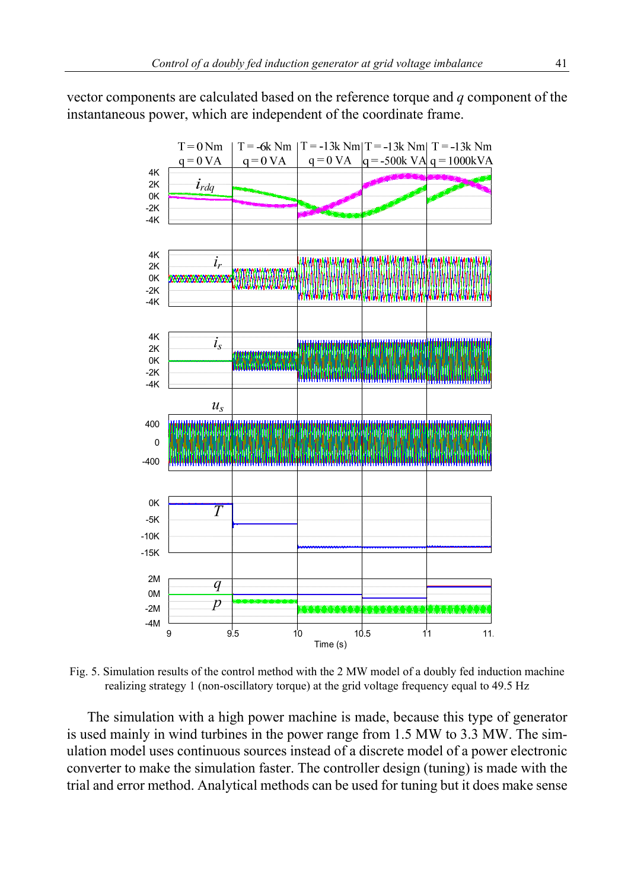vector components are calculated based on the reference torque and *q* component of the instantaneous power, which are independent of the coordinate frame.



Fig. 5. Simulation results of the control method with the 2 MW model of a doubly fed induction machine realizing strategy 1 (non-oscillatory torque) at the grid voltage frequency equal to 49.5 Hz

The simulation with a high power machine is made, because this type of generator is used mainly in wind turbines in the power range from 1.5 MW to 3.3 MW. The simulation model uses continuous sources instead of a discrete model of a power electronic converter to make the simulation faster. The controller design (tuning) is made with the trial and error method. Analytical methods can be used for tuning but it does make sense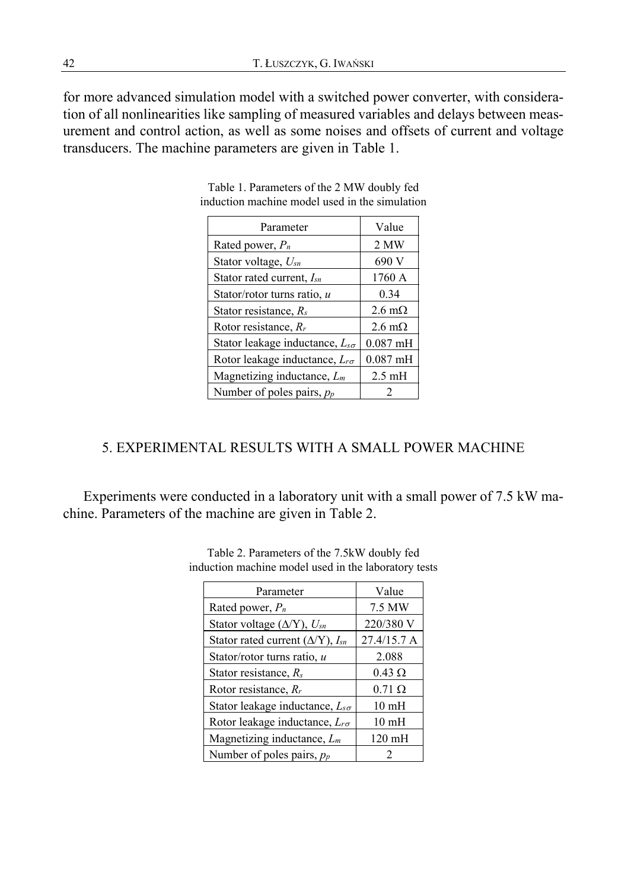for more advanced simulation model with a switched power converter, with consideration of all nonlinearities like sampling of measured variables and delays between measurement and control action, as well as some noises and offsets of current and voltage transducers. The machine parameters are given in Table 1.

| Parameter                                | Value                 |
|------------------------------------------|-----------------------|
| Rated power, $P_n$                       | 2 MW                  |
| Stator voltage, Usn                      | 690 V                 |
| Stator rated current, $I_{sn}$           | 1760 A                |
| Stator/rotor turns ratio, u              | 0.34                  |
| Stator resistance, $R_s$                 | $2.6 \text{ m}\Omega$ |
| Rotor resistance, $R_r$                  | $2.6 \text{ m}\Omega$ |
| Stator leakage inductance, $L_{s\sigma}$ | $0.087$ mH            |
| Rotor leakage inductance, $L_{r\sigma}$  | $0.087$ mH            |
| Magnetizing inductance, $L_m$            | $2.5 \text{ mH}$      |
| Number of poles pairs, $p_p$             |                       |

Table 1. Parameters of the 2 MW doubly fed induction machine model used in the simulation

# 5. EXPERIMENTAL RESULTS WITH A SMALL POWER MACHINE

Experiments were conducted in a laboratory unit with a small power of 7.5 kW machine. Parameters of the machine are given in Table 2.

| Parameter                                     | Value            |
|-----------------------------------------------|------------------|
| Rated power, $P_n$                            | 7.5 MW           |
| Stator voltage ( $\Delta$ /Y), $U_{sn}$       | 220/380 V        |
| Stator rated current ( $\Delta$ /Y), $I_{sn}$ | 27.4/15.7 A      |
| Stator/rotor turns ratio, u                   | 2.088            |
| Stator resistance, $R_s$                      | $0.43 \Omega$    |
| Rotor resistance, $R_r$                       | $0.71 \Omega$    |
| Stator leakage inductance, $L_{s\sigma}$      | 10 <sub>mH</sub> |
| Rotor leakage inductance, $L_{r\sigma}$       | 10 <sub>mH</sub> |
| Magnetizing inductance, $L_m$                 | $120 \text{ mH}$ |
| Number of poles pairs, $p_p$                  |                  |

Table 2. Parameters of the 7.5kW doubly fed induction machine model used in the laboratory tests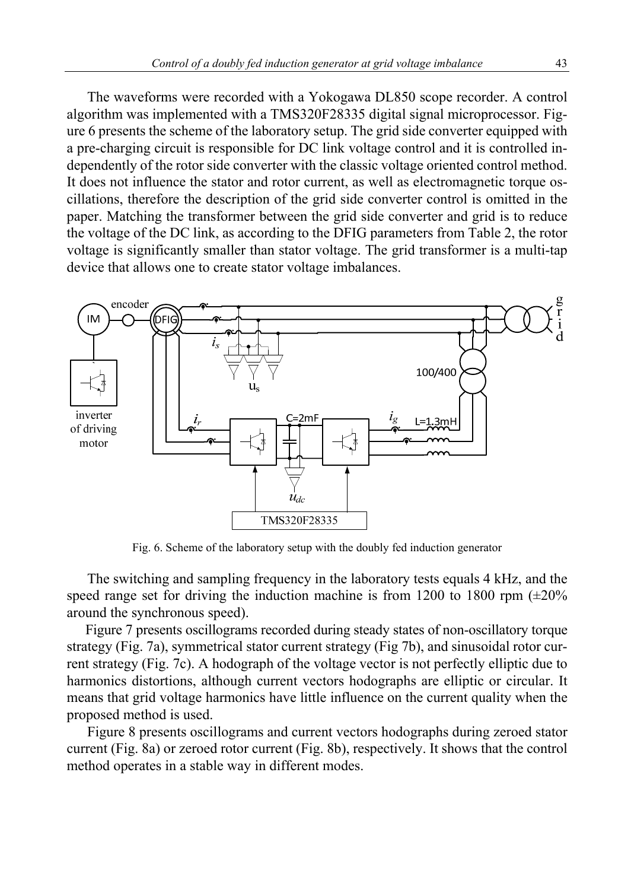The waveforms were recorded with a Yokogawa DL850 scope recorder. A control algorithm was implemented with a TMS320F28335 digital signal microprocessor. Figure 6 presents the scheme of the laboratory setup. The grid side converter equipped with a pre-charging circuit is responsible for DC link voltage control and it is controlled independently of the rotor side converter with the classic voltage oriented control method. It does not influence the stator and rotor current, as well as electromagnetic torque oscillations, therefore the description of the grid side converter control is omitted in the paper. Matching the transformer between the grid side converter and grid is to reduce the voltage of the DC link, as according to the DFIG parameters from Table 2, the rotor voltage is significantly smaller than stator voltage. The grid transformer is a multi-tap device that allows one to create stator voltage imbalances.



Fig. 6. Scheme of the laboratory setup with the doubly fed induction generator

The switching and sampling frequency in the laboratory tests equals 4 kHz, and the speed range set for driving the induction machine is from 1200 to 1800 rpm  $(\pm 20\%$ around the synchronous speed).

Figure 7 presents oscillograms recorded during steady states of non-oscillatory torque strategy (Fig. 7a), symmetrical stator current strategy (Fig 7b), and sinusoidal rotor current strategy (Fig. 7c). A hodograph of the voltage vector is not perfectly elliptic due to harmonics distortions, although current vectors hodographs are elliptic or circular. It means that grid voltage harmonics have little influence on the current quality when the proposed method is used.

Figure 8 presents oscillograms and current vectors hodographs during zeroed stator current (Fig. 8a) or zeroed rotor current (Fig. 8b), respectively. It shows that the control method operates in a stable way in different modes.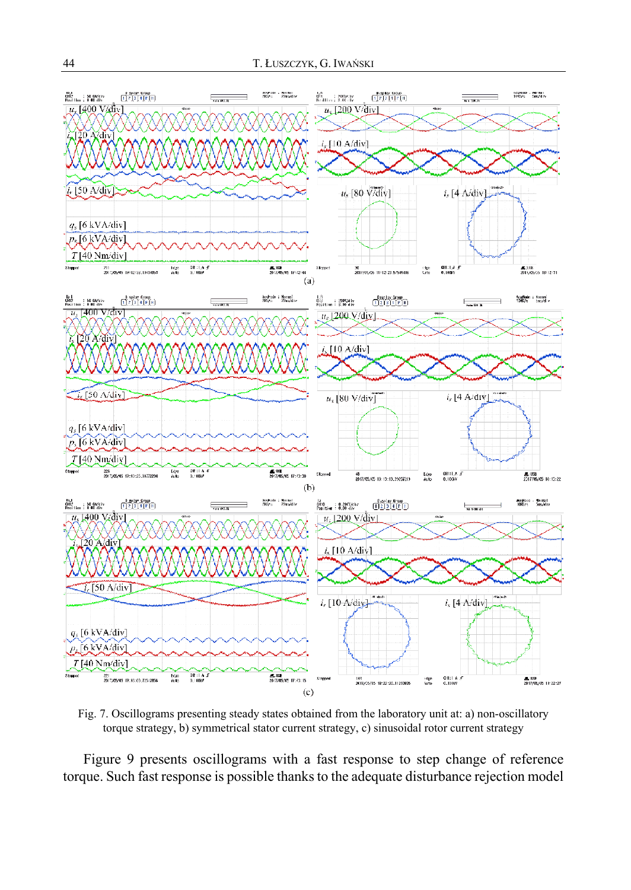

Fig. 7. Oscillograms presenting steady states obtained from the laboratory unit at: a) non-oscillatory torque strategy, b) symmetrical stator current strategy, c) sinusoidal rotor current strategy

Figure 9 presents oscillograms with a fast response to step change of reference torque. Such fast response is possible thanks to the adequate disturbance rejection model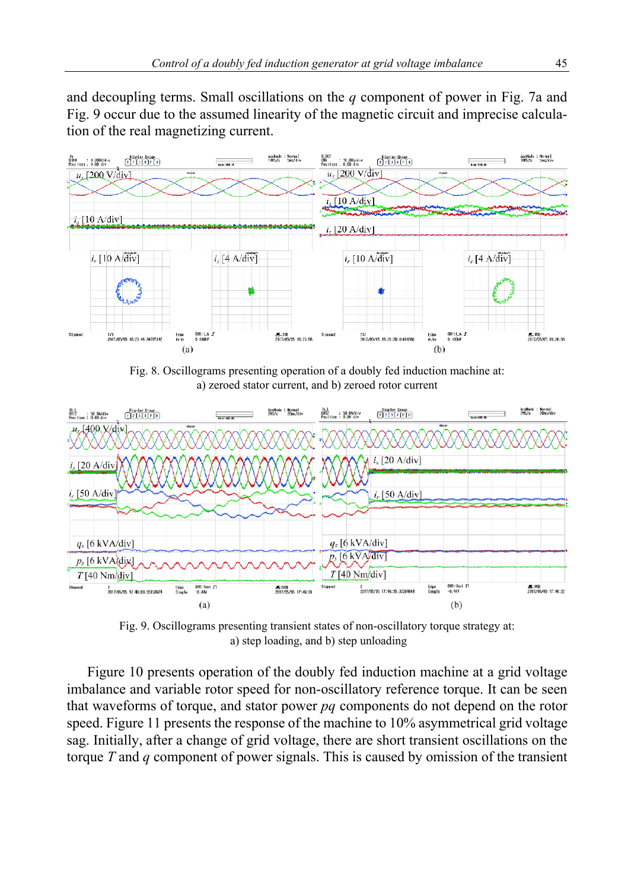and decoupling terms. Small oscillations on the *q* component of power in Fig. 7a and Fig. 9 occur due to the assumed linearity of the magnetic circuit and imprecise calculation of the real magnetizing current.



Fig. 8. Oscillograms presenting operation of a doubly fed induction machine at: a) zeroed stator current, and b) zeroed rotor current



Fig. 9. Oscillograms presenting transient states of non-oscillatory torque strategy at: a) step loading, and b) step unloading

Figure 10 presents operation of the doubly fed induction machine at a grid voltage imbalance and variable rotor speed for non-oscillatory reference torque. It can be seen that waveforms of torque, and stator power *pq* components do not depend on the rotor speed. Figure 11 presents the response of the machine to 10% asymmetrical grid voltage sag. Initially, after a change of grid voltage, there are short transient oscillations on the torque *T* and *q* component of power signals. This is caused by omission of the transient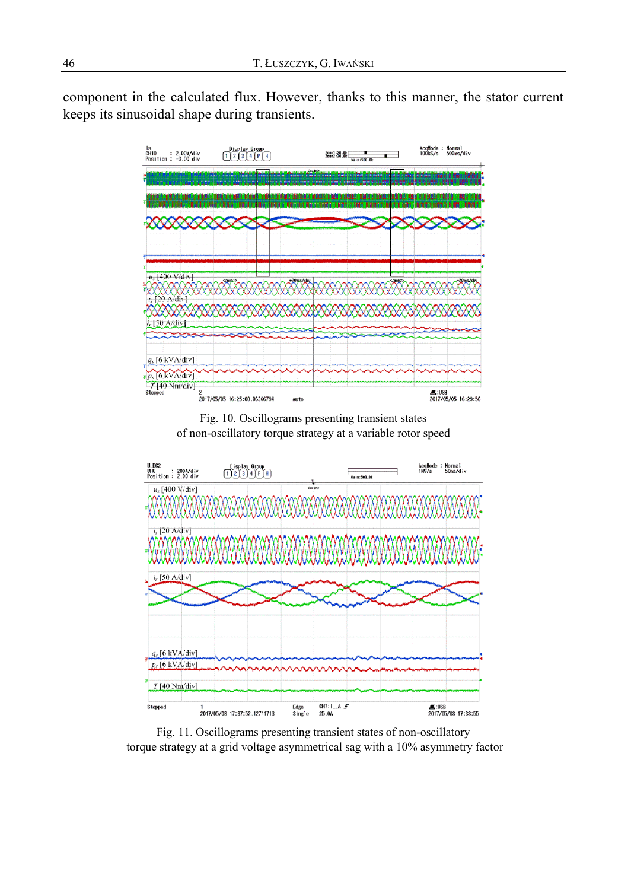component in the calculated flux. However, thanks to this manner, the stator current keeps its sinusoidal shape during transients.



Fig. 10. Oscillograms presenting transient states of non-oscillatory torque strategy at a variable rotor speed



Fig. 11. Oscillograms presenting transient states of non-oscillatory torque strategy at a grid voltage asymmetrical sag with a 10% asymmetry factor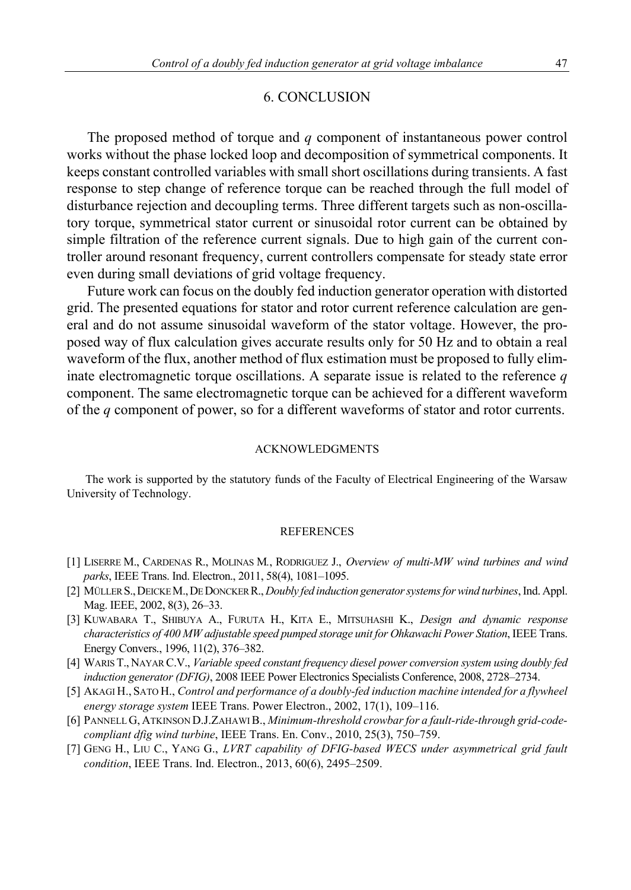#### 6. CONCLUSION

The proposed method of torque and *q* component of instantaneous power control works without the phase locked loop and decomposition of symmetrical components. It keeps constant controlled variables with small short oscillations during transients. A fast response to step change of reference torque can be reached through the full model of disturbance rejection and decoupling terms. Three different targets such as non-oscillatory torque, symmetrical stator current or sinusoidal rotor current can be obtained by simple filtration of the reference current signals. Due to high gain of the current controller around resonant frequency, current controllers compensate for steady state error even during small deviations of grid voltage frequency.

Future work can focus on the doubly fed induction generator operation with distorted grid. The presented equations for stator and rotor current reference calculation are general and do not assume sinusoidal waveform of the stator voltage. However, the proposed way of flux calculation gives accurate results only for 50 Hz and to obtain a real waveform of the flux, another method of flux estimation must be proposed to fully eliminate electromagnetic torque oscillations. A separate issue is related to the reference *q* component. The same electromagnetic torque can be achieved for a different waveform of the *q* component of power, so for a different waveforms of stator and rotor currents.

### ACKNOWLEDGMENTS

The work is supported by the statutory funds of the Faculty of Electrical Engineering of the Warsaw University of Technology.

#### REFERENCES

- [1] LISERRE M., CARDENAS R., MOLINAS M*.*, RODRIGUEZ J., *Overview of multi-MW wind turbines and wind parks*, IEEE Trans. Ind. Electron., 2011, 58(4), 1081–1095.
- [2] MÜLLER S.,DEICKE M.,DE DONCKER R., *Doubly fed induction generator systems for wind turbines*, Ind. Appl. Mag. IEEE, 2002, 8(3), 26–33.
- [3] KUWABARA T., SHIBUYA A., FURUTA H., KITA E., MITSUHASHI K., *Design and dynamic response characteristics of 400 MW adjustable speed pumped storage unit for Ohkawachi Power Station*, IEEE Trans. Energy Convers., 1996, 11(2), 376–382.
- [4] WARIS T., NAYAR C.V., *Variable speed constant frequency diesel power conversion system using doubly fed induction generator (DFIG)*, 2008 IEEE Power Electronics Specialists Conference, 2008, 2728–2734.
- [5] AKAGI H., SATO H., *Control and performance of a doubly-fed induction machine intended for a flywheel energy storage system* IEEE Trans. Power Electron., 2002, 17(1), 109–116.
- [6] PANNELL G, ATKINSON D.J.ZAHAWI B., *Minimum-threshold crowbar for a fault-ride-through grid-codecompliant dfig wind turbine*, IEEE Trans. En. Conv., 2010, 25(3), 750–759.
- [7] GENG H., LIU C., YANG G., *LVRT capability of DFIG-based WECS under asymmetrical grid fault condition*, IEEE Trans. Ind. Electron., 2013, 60(6), 2495–2509.